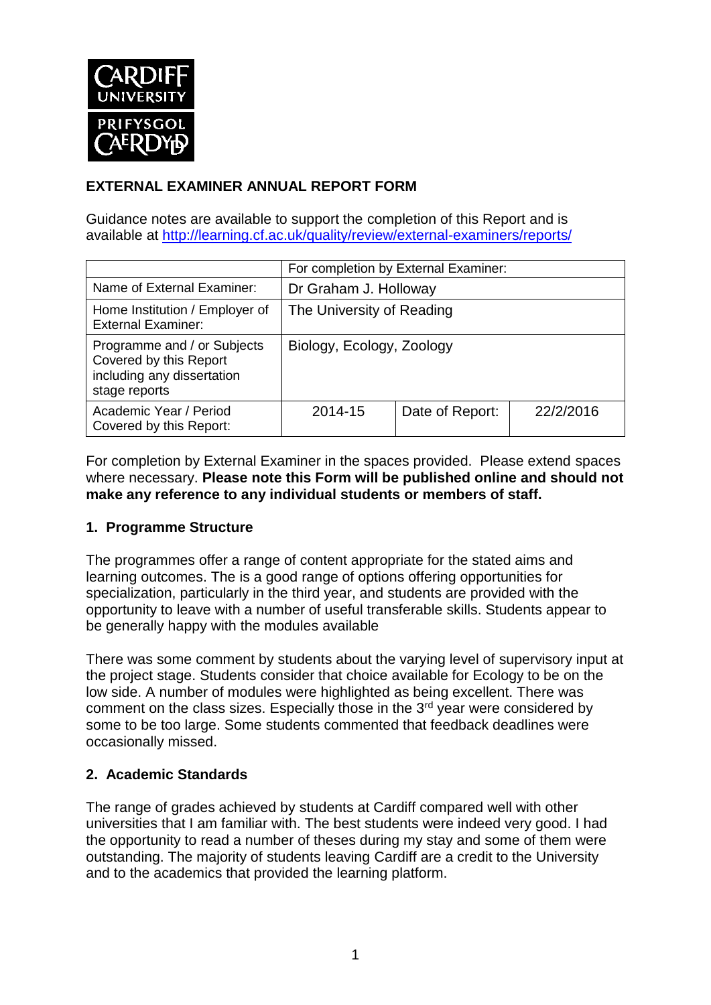

# **EXTERNAL EXAMINER ANNUAL REPORT FORM**

Guidance notes are available to support the completion of this Report and is available at <http://learning.cf.ac.uk/quality/review/external-examiners/reports/>

|                                                                                                      | For completion by External Examiner: |                 |           |  |
|------------------------------------------------------------------------------------------------------|--------------------------------------|-----------------|-----------|--|
| Name of External Examiner:                                                                           | Dr Graham J. Holloway                |                 |           |  |
| Home Institution / Employer of<br><b>External Examiner:</b>                                          | The University of Reading            |                 |           |  |
| Programme and / or Subjects<br>Covered by this Report<br>including any dissertation<br>stage reports | Biology, Ecology, Zoology            |                 |           |  |
| Academic Year / Period<br>Covered by this Report:                                                    | 2014-15                              | Date of Report: | 22/2/2016 |  |

For completion by External Examiner in the spaces provided. Please extend spaces where necessary. **Please note this Form will be published online and should not make any reference to any individual students or members of staff.**

#### **1. Programme Structure**

The programmes offer a range of content appropriate for the stated aims and learning outcomes. The is a good range of options offering opportunities for specialization, particularly in the third year, and students are provided with the opportunity to leave with a number of useful transferable skills. Students appear to be generally happy with the modules available

There was some comment by students about the varying level of supervisory input at the project stage. Students consider that choice available for Ecology to be on the low side. A number of modules were highlighted as being excellent. There was comment on the class sizes. Especially those in the  $3<sup>rd</sup>$  year were considered by some to be too large. Some students commented that feedback deadlines were occasionally missed.

### **2. Academic Standards**

The range of grades achieved by students at Cardiff compared well with other universities that I am familiar with. The best students were indeed very good. I had the opportunity to read a number of theses during my stay and some of them were outstanding. The majority of students leaving Cardiff are a credit to the University and to the academics that provided the learning platform.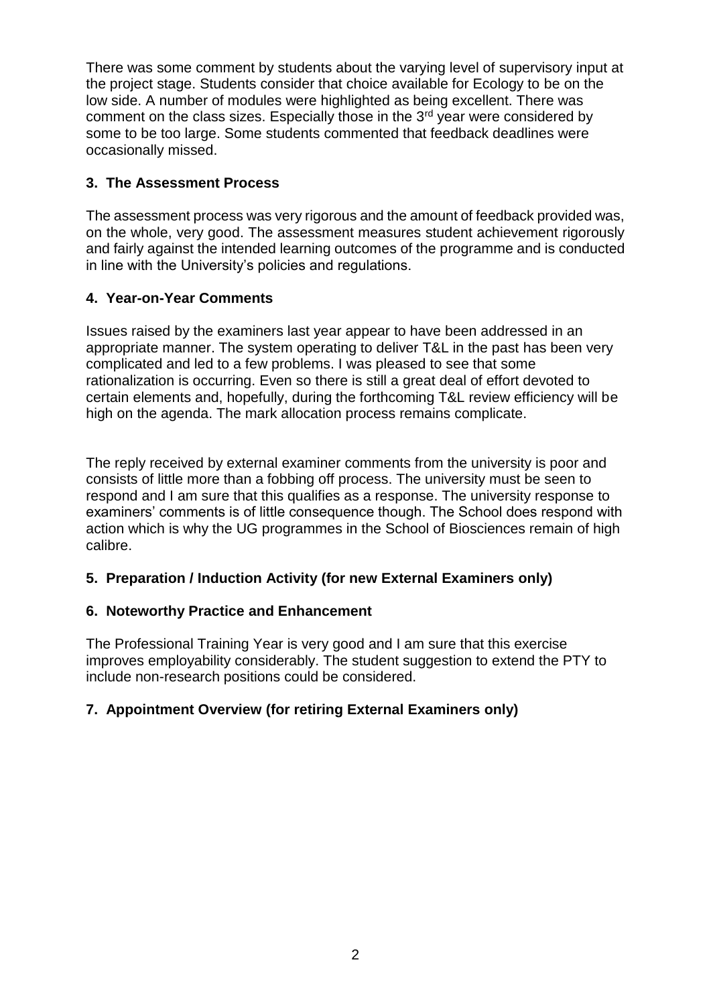There was some comment by students about the varying level of supervisory input at the project stage. Students consider that choice available for Ecology to be on the low side. A number of modules were highlighted as being excellent. There was comment on the class sizes. Especially those in the  $3<sup>rd</sup>$  year were considered by some to be too large. Some students commented that feedback deadlines were occasionally missed.

### **3. The Assessment Process**

The assessment process was very rigorous and the amount of feedback provided was, on the whole, very good. The assessment measures student achievement rigorously and fairly against the intended learning outcomes of the programme and is conducted in line with the University's policies and regulations.

### **4. Year-on-Year Comments**

Issues raised by the examiners last year appear to have been addressed in an appropriate manner. The system operating to deliver T&L in the past has been very complicated and led to a few problems. I was pleased to see that some rationalization is occurring. Even so there is still a great deal of effort devoted to certain elements and, hopefully, during the forthcoming T&L review efficiency will be high on the agenda. The mark allocation process remains complicate.

The reply received by external examiner comments from the university is poor and consists of little more than a fobbing off process. The university must be seen to respond and I am sure that this qualifies as a response. The university response to examiners' comments is of little consequence though. The School does respond with action which is why the UG programmes in the School of Biosciences remain of high calibre.

# **5. Preparation / Induction Activity (for new External Examiners only)**

### **6. Noteworthy Practice and Enhancement**

The Professional Training Year is very good and I am sure that this exercise improves employability considerably. The student suggestion to extend the PTY to include non-research positions could be considered.

### **7. Appointment Overview (for retiring External Examiners only)**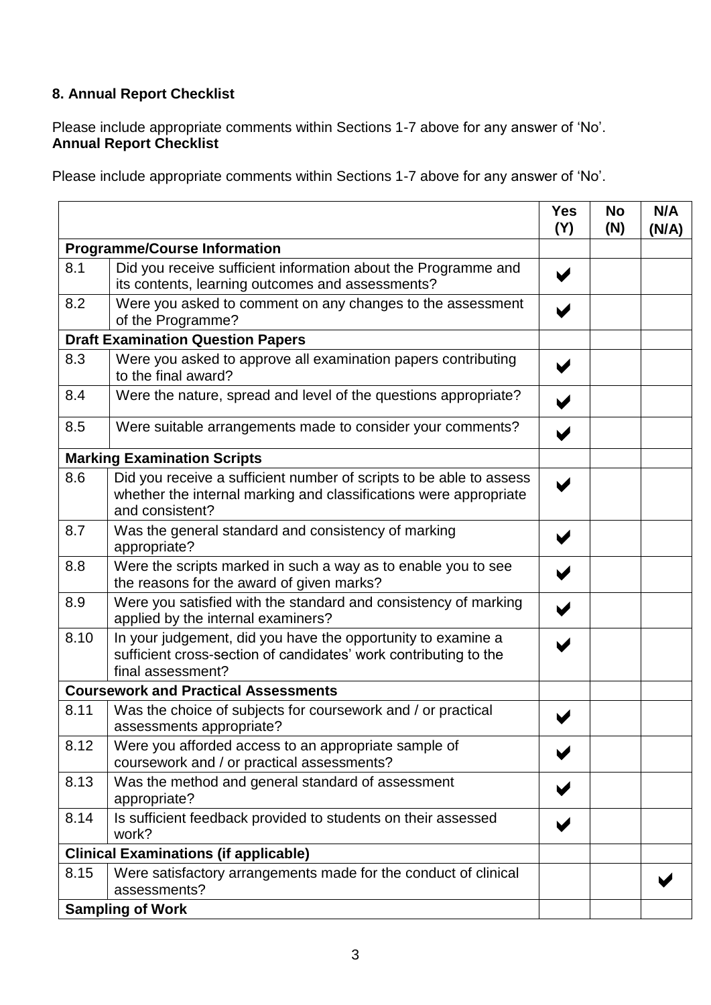# **8. Annual Report Checklist**

Please include appropriate comments within Sections 1-7 above for any answer of 'No'. **Annual Report Checklist**

Please include appropriate comments within Sections 1-7 above for any answer of 'No'.

|                                          |                                                                                                                                                             | <b>Yes</b><br>(Y) | <b>No</b><br>(N) | N/A<br>(N/A) |
|------------------------------------------|-------------------------------------------------------------------------------------------------------------------------------------------------------------|-------------------|------------------|--------------|
| <b>Programme/Course Information</b>      |                                                                                                                                                             |                   |                  |              |
| 8.1                                      | Did you receive sufficient information about the Programme and<br>its contents, learning outcomes and assessments?                                          | V                 |                  |              |
| 8.2                                      | Were you asked to comment on any changes to the assessment<br>of the Programme?                                                                             |                   |                  |              |
| <b>Draft Examination Question Papers</b> |                                                                                                                                                             |                   |                  |              |
| 8.3                                      | Were you asked to approve all examination papers contributing<br>to the final award?                                                                        |                   |                  |              |
| 8.4                                      | Were the nature, spread and level of the questions appropriate?                                                                                             |                   |                  |              |
| 8.5                                      | Were suitable arrangements made to consider your comments?                                                                                                  | V                 |                  |              |
|                                          | <b>Marking Examination Scripts</b>                                                                                                                          |                   |                  |              |
| 8.6                                      | Did you receive a sufficient number of scripts to be able to assess<br>whether the internal marking and classifications were appropriate<br>and consistent? | ✔                 |                  |              |
| 8.7                                      | Was the general standard and consistency of marking<br>appropriate?                                                                                         |                   |                  |              |
| 8.8                                      | Were the scripts marked in such a way as to enable you to see<br>the reasons for the award of given marks?                                                  |                   |                  |              |
| 8.9                                      | Were you satisfied with the standard and consistency of marking<br>applied by the internal examiners?                                                       |                   |                  |              |
| 8.10                                     | In your judgement, did you have the opportunity to examine a<br>sufficient cross-section of candidates' work contributing to the<br>final assessment?       |                   |                  |              |
|                                          | <b>Coursework and Practical Assessments</b>                                                                                                                 |                   |                  |              |
| 8.11                                     | Was the choice of subjects for coursework and / or practical<br>assessments appropriate?                                                                    |                   |                  |              |
| 8.12                                     | Were you afforded access to an appropriate sample of<br>coursework and / or practical assessments?                                                          |                   |                  |              |
| 8.13                                     | Was the method and general standard of assessment<br>appropriate?                                                                                           |                   |                  |              |
| 8.14                                     | Is sufficient feedback provided to students on their assessed<br>work?                                                                                      |                   |                  |              |
|                                          | <b>Clinical Examinations (if applicable)</b>                                                                                                                |                   |                  |              |
| 8.15                                     | Were satisfactory arrangements made for the conduct of clinical<br>assessments?                                                                             |                   |                  |              |
|                                          | <b>Sampling of Work</b>                                                                                                                                     |                   |                  |              |